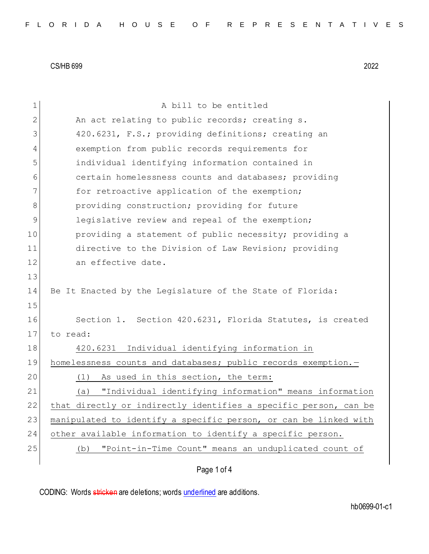| 1  | A bill to be entitled                                            |
|----|------------------------------------------------------------------|
| 2  | An act relating to public records; creating s.                   |
| 3  | 420.6231, F.S.; providing definitions; creating an               |
| 4  | exemption from public records requirements for                   |
| 5  | individual identifying information contained in                  |
| 6  | certain homelessness counts and databases; providing             |
| 7  | for retroactive application of the exemption;                    |
| 8  | providing construction; providing for future                     |
| 9  | legislative review and repeal of the exemption;                  |
| 10 | providing a statement of public necessity; providing a           |
| 11 | directive to the Division of Law Revision; providing             |
| 12 | an effective date.                                               |
| 13 |                                                                  |
| 14 | Be It Enacted by the Legislature of the State of Florida:        |
| 15 |                                                                  |
| 16 | Section 1. Section 420.6231, Florida Statutes, is created        |
| 17 | to read:                                                         |
| 18 | 420.6231 Individual identifying information in                   |
| 19 | homelessness counts and databases; public records exemption.-    |
| 20 | As used in this section, the term:<br>(1)                        |
| 21 | "Individual identifying information" means information<br>(a)    |
| 22 | that directly or indirectly identifies a specific person, can be |
| 23 | manipulated to identify a specific person, or can be linked with |
| 24 | other available information to identify a specific person.       |
| 25 | "Point-in-Time Count" means an unduplicated count of<br>(b)      |
|    |                                                                  |

# Page 1 of 4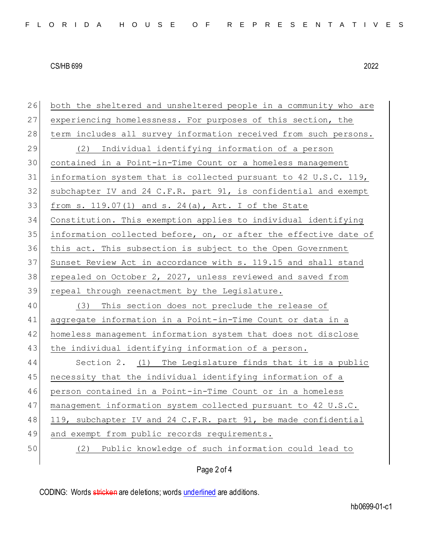| 26 | both the sheltered and unsheltered people in a community who are |
|----|------------------------------------------------------------------|
| 27 | experiencing homelessness. For purposes of this section, the     |
| 28 | term includes all survey information received from such persons. |
| 29 | Individual identifying information of a person<br>(2)            |
| 30 | contained in a Point-in-Time Count or a homeless management      |
| 31 | information system that is collected pursuant to 42 U.S.C. 119,  |
| 32 | subchapter IV and 24 C.F.R. part 91, is confidential and exempt  |
| 33 | from s. $119.07(1)$ and s. $24(a)$ , Art. I of the State         |
| 34 | Constitution. This exemption applies to individual identifying   |
| 35 | information collected before, on, or after the effective date of |
| 36 | this act. This subsection is subject to the Open Government      |
| 37 | Sunset Review Act in accordance with s. 119.15 and shall stand   |
| 38 | repealed on October 2, 2027, unless reviewed and saved from      |
|    |                                                                  |
| 39 | repeal through reenactment by the Legislature.                   |
| 40 | This section does not preclude the release of<br>(3)             |
| 41 | aggregate information in a Point-in-Time Count or data in a      |
| 42 | homeless management information system that does not disclose    |
| 43 | the individual identifying information of a person.              |
| 44 | Section 2. (1) The Legislature finds that it is a public         |
| 45 | necessity that the individual identifying information of a       |
| 46 | person contained in a Point-in-Time Count or in a homeless       |
| 47 | management information system collected pursuant to 42 U.S.C.    |
| 48 | 119, subchapter IV and 24 C.F.R. part 91, be made confidential   |
| 49 | and exempt from public records requirements.                     |
| 50 | Public knowledge of such information could lead to<br>(2)        |

# Page 2 of 4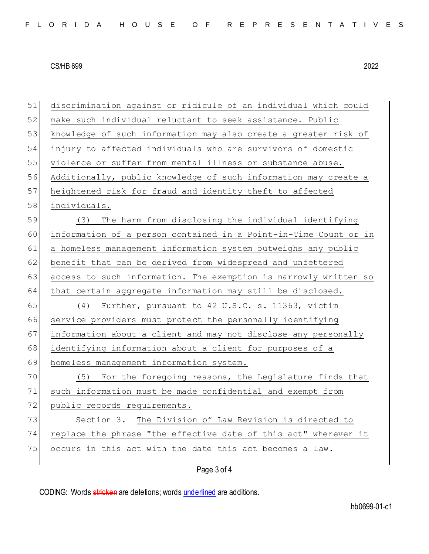| 51 | discrimination against or ridicule of an individual which could  |  |  |  |  |  |  |  |  |
|----|------------------------------------------------------------------|--|--|--|--|--|--|--|--|
| 52 | make such individual reluctant to seek assistance. Public        |  |  |  |  |  |  |  |  |
| 53 | knowledge of such information may also create a greater risk of  |  |  |  |  |  |  |  |  |
| 54 | injury to affected individuals who are survivors of domestic     |  |  |  |  |  |  |  |  |
| 55 | violence or suffer from mental illness or substance abuse.       |  |  |  |  |  |  |  |  |
| 56 | Additionally, public knowledge of such information may create a  |  |  |  |  |  |  |  |  |
| 57 | heightened risk for fraud and identity theft to affected         |  |  |  |  |  |  |  |  |
| 58 | individuals.                                                     |  |  |  |  |  |  |  |  |
| 59 | The harm from disclosing the individual identifying<br>(3)       |  |  |  |  |  |  |  |  |
| 60 | information of a person contained in a Point-in-Time Count or in |  |  |  |  |  |  |  |  |
| 61 | a homeless management information system outweighs any public    |  |  |  |  |  |  |  |  |
| 62 | benefit that can be derived from widespread and unfettered       |  |  |  |  |  |  |  |  |
| 63 | access to such information. The exemption is narrowly written so |  |  |  |  |  |  |  |  |
| 64 | that certain aggregate information may still be disclosed.       |  |  |  |  |  |  |  |  |
| 65 | Further, pursuant to 42 U.S.C. s. 11363, victim<br>(4)           |  |  |  |  |  |  |  |  |
| 66 | service providers must protect the personally identifying        |  |  |  |  |  |  |  |  |
| 67 | information about a client and may not disclose any personally   |  |  |  |  |  |  |  |  |
| 68 | identifying information about a client for purposes of a         |  |  |  |  |  |  |  |  |
| 69 | homeless management information system.                          |  |  |  |  |  |  |  |  |
| 70 | For the foregoing reasons, the Legislature finds that<br>(5)     |  |  |  |  |  |  |  |  |
| 71 | such information must be made confidential and exempt from       |  |  |  |  |  |  |  |  |
| 72 | public records requirements.                                     |  |  |  |  |  |  |  |  |
| 73 | Section 3. The Division of Law Revision is directed to           |  |  |  |  |  |  |  |  |
| 74 | replace the phrase "the effective date of this act" wherever it  |  |  |  |  |  |  |  |  |
| 75 | occurs in this act with the date this act becomes a law.         |  |  |  |  |  |  |  |  |
|    |                                                                  |  |  |  |  |  |  |  |  |

# Page 3 of 4